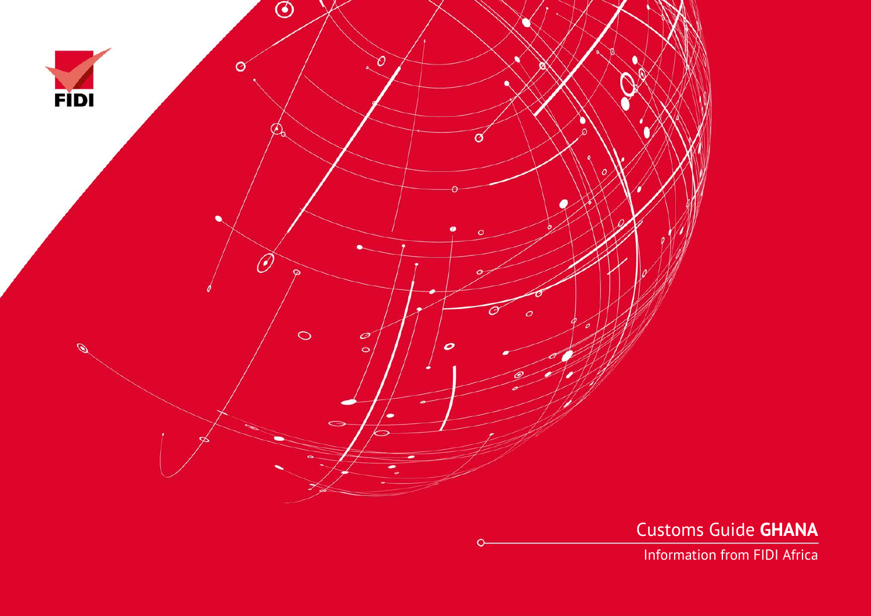

Customs Guide **GHANA**

Information from FIDI Africa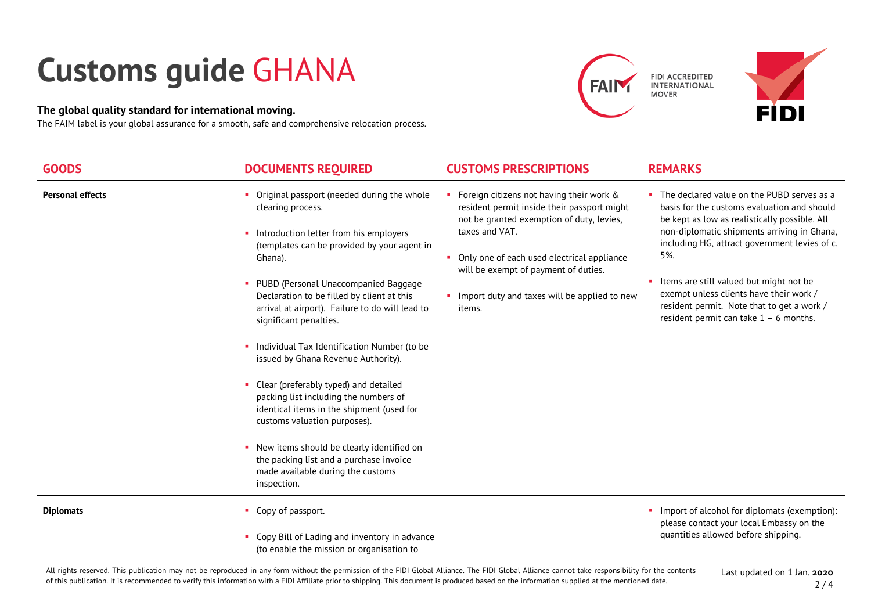## **Customs guide** GHANA

## **The global quality standard for international moving.**

The FAIM label is your global assurance for a smooth, safe and comprehensive relocation process.







| <b>GOODS</b>            | <b>DOCUMENTS REQUIRED</b>                                                                                                                                                                                                                                                                                                                                                                                                                                                                                                                                                                                                                                                                                                               | <b>CUSTOMS PRESCRIPTIONS</b>                                                                                                                                                                                                                                                                               | <b>REMARKS</b>                                                                                                                                                                                                                                                                                                                                                                                                                    |
|-------------------------|-----------------------------------------------------------------------------------------------------------------------------------------------------------------------------------------------------------------------------------------------------------------------------------------------------------------------------------------------------------------------------------------------------------------------------------------------------------------------------------------------------------------------------------------------------------------------------------------------------------------------------------------------------------------------------------------------------------------------------------------|------------------------------------------------------------------------------------------------------------------------------------------------------------------------------------------------------------------------------------------------------------------------------------------------------------|-----------------------------------------------------------------------------------------------------------------------------------------------------------------------------------------------------------------------------------------------------------------------------------------------------------------------------------------------------------------------------------------------------------------------------------|
| <b>Personal effects</b> | Original passport (needed during the whole<br>clearing process.<br>Introduction letter from his employers<br>(templates can be provided by your agent in<br>Ghana).<br>PUBD (Personal Unaccompanied Baggage<br>Declaration to be filled by client at this<br>arrival at airport). Failure to do will lead to<br>significant penalties.<br>Individual Tax Identification Number (to be<br>issued by Ghana Revenue Authority).<br>Clear (preferably typed) and detailed<br>packing list including the numbers of<br>identical items in the shipment (used for<br>customs valuation purposes).<br>New items should be clearly identified on<br>the packing list and a purchase invoice<br>made available during the customs<br>inspection. | • Foreign citizens not having their work &<br>resident permit inside their passport might<br>not be granted exemption of duty, levies,<br>taxes and VAT.<br>• Only one of each used electrical appliance<br>will be exempt of payment of duties.<br>Import duty and taxes will be applied to new<br>items. | The declared value on the PUBD serves as a<br>basis for the customs evaluation and should<br>be kept as low as realistically possible. All<br>non-diplomatic shipments arriving in Ghana,<br>including HG, attract government levies of c.<br>5%.<br>Items are still valued but might not be<br>exempt unless clients have their work /<br>resident permit. Note that to get a work /<br>resident permit can take $1 - 6$ months. |
| <b>Diplomats</b>        | Copy of passport.<br>Copy Bill of Lading and inventory in advance<br>(to enable the mission or organisation to                                                                                                                                                                                                                                                                                                                                                                                                                                                                                                                                                                                                                          |                                                                                                                                                                                                                                                                                                            | Import of alcohol for diplomats (exemption):<br>please contact your local Embassy on the<br>quantities allowed before shipping.                                                                                                                                                                                                                                                                                                   |

## All rights reserved. This publication may not be reproduced in any form without the permission of the FIDI Global Alliance. The FIDI Global Alliance cannot take responsibility for the contents of this publication. It is recommended to verify this information with a FIDI Affiliate prior to shipping. This document is produced based on the information supplied at the mentioned date.

Last updated on 1 Jan. **2020**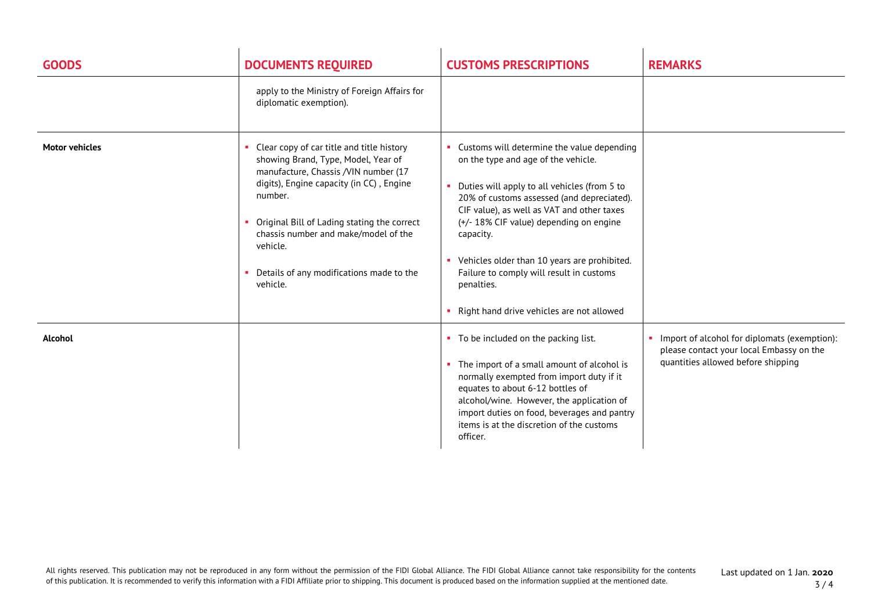| <b>GOODS</b>          | <b>DOCUMENTS REQUIRED</b>                                                                                                                                                                                                                                                                                                                  | <b>CUSTOMS PRESCRIPTIONS</b>                                                                                                                                                                                                                                                                                                                                                                                                                       | <b>REMARKS</b>                                                                                                                 |
|-----------------------|--------------------------------------------------------------------------------------------------------------------------------------------------------------------------------------------------------------------------------------------------------------------------------------------------------------------------------------------|----------------------------------------------------------------------------------------------------------------------------------------------------------------------------------------------------------------------------------------------------------------------------------------------------------------------------------------------------------------------------------------------------------------------------------------------------|--------------------------------------------------------------------------------------------------------------------------------|
|                       | apply to the Ministry of Foreign Affairs for<br>diplomatic exemption).                                                                                                                                                                                                                                                                     |                                                                                                                                                                                                                                                                                                                                                                                                                                                    |                                                                                                                                |
| <b>Motor vehicles</b> | Clear copy of car title and title history<br>showing Brand, Type, Model, Year of<br>manufacture, Chassis /VIN number (17<br>digits), Engine capacity (in CC), Engine<br>number.<br>Original Bill of Lading stating the correct<br>chassis number and make/model of the<br>vehicle.<br>Details of any modifications made to the<br>vehicle. | • Customs will determine the value depending<br>on the type and age of the vehicle.<br>Duties will apply to all vehicles (from 5 to<br>20% of customs assessed (and depreciated).<br>CIF value), as well as VAT and other taxes<br>(+/- 18% CIF value) depending on engine<br>capacity.<br>• Vehicles older than 10 years are prohibited.<br>Failure to comply will result in customs<br>penalties.<br>• Right hand drive vehicles are not allowed |                                                                                                                                |
| <b>Alcohol</b>        |                                                                                                                                                                                                                                                                                                                                            | • To be included on the packing list.<br>• The import of a small amount of alcohol is<br>normally exempted from import duty if it<br>equates to about 6-12 bottles of<br>alcohol/wine. However, the application of<br>import duties on food, beverages and pantry<br>items is at the discretion of the customs<br>officer.                                                                                                                         | Import of alcohol for diplomats (exemption):<br>please contact your local Embassy on the<br>quantities allowed before shipping |